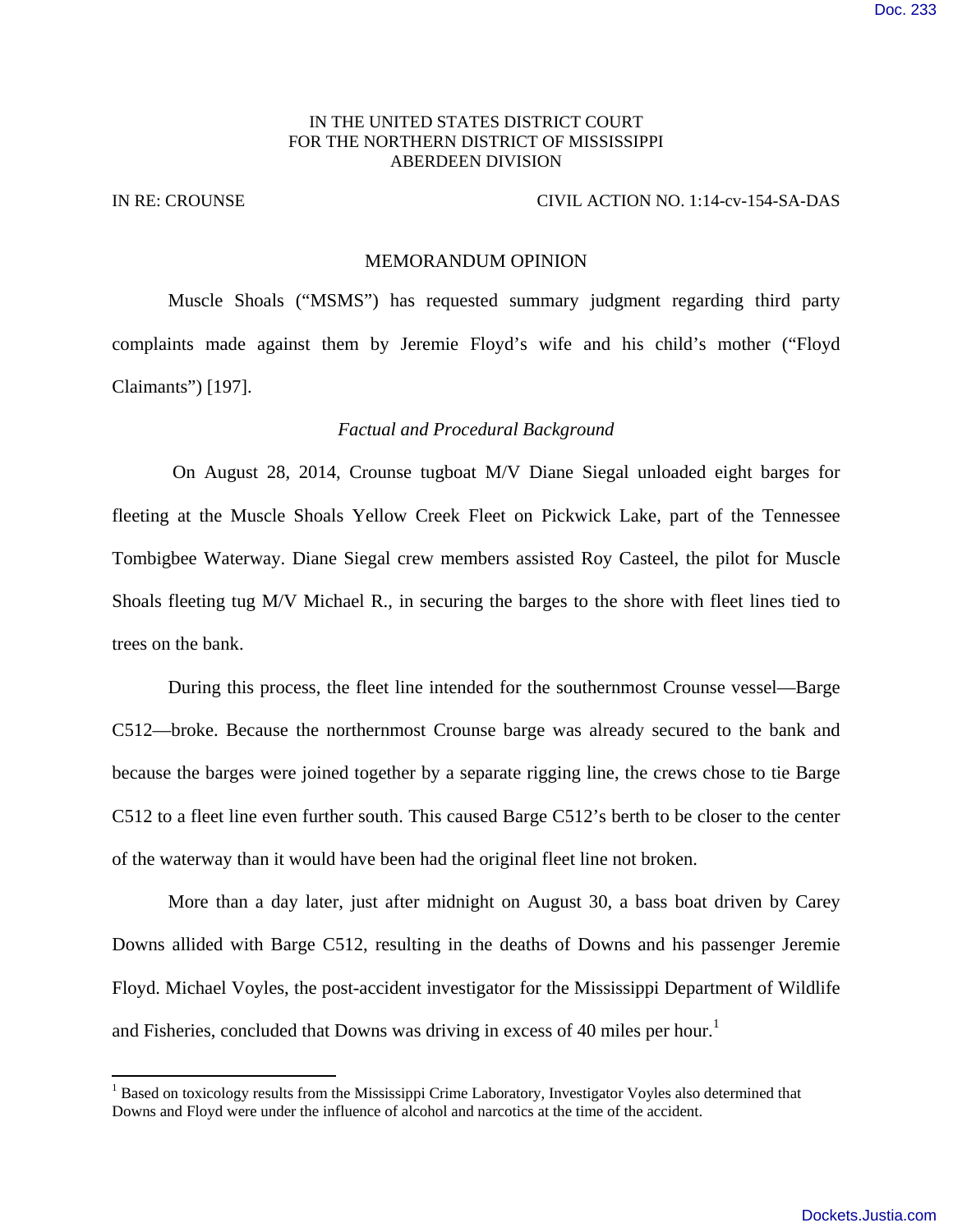## IN THE UNITED STATES DISTRICT COURT FOR THE NORTHERN DISTRICT OF MISSISSIPPI ABERDEEN DIVISION

#### IN RE: CROUNSE CIVIL ACTION NO. 1:14-cv-154-SA-DAS

#### MEMORANDUM OPINION

 Muscle Shoals ("MSMS") has requested summary judgment regarding third party complaints made against them by Jeremie Floyd's wife and his child's mother ("Floyd Claimants") [197].

## *Factual and Procedural Background*

 On August 28, 2014, Crounse tugboat M/V Diane Siegal unloaded eight barges for fleeting at the Muscle Shoals Yellow Creek Fleet on Pickwick Lake, part of the Tennessee Tombigbee Waterway. Diane Siegal crew members assisted Roy Casteel, the pilot for Muscle Shoals fleeting tug M/V Michael R., in securing the barges to the shore with fleet lines tied to trees on the bank.

During this process, the fleet line intended for the southernmost Crounse vessel—Barge C512—broke. Because the northernmost Crounse barge was already secured to the bank and because the barges were joined together by a separate rigging line, the crews chose to tie Barge C512 to a fleet line even further south. This caused Barge C512's berth to be closer to the center of the waterway than it would have been had the original fleet line not broken.

More than a day later, just after midnight on August 30, a bass boat driven by Carey Downs allided with Barge C512, resulting in the deaths of Downs and his passenger Jeremie Floyd. Michael Voyles, the post-accident investigator for the Mississippi Department of Wildlife and Fisheries, concluded that Downs was driving in excess of 40 miles per hour.<sup>1</sup>

<sup>&</sup>lt;sup>1</sup> Based on toxicology results from the Mississippi Crime Laboratory, Investigator Voyles also determined that Downs and Floyd were under the influence of alcohol and narcotics at the time of the accident.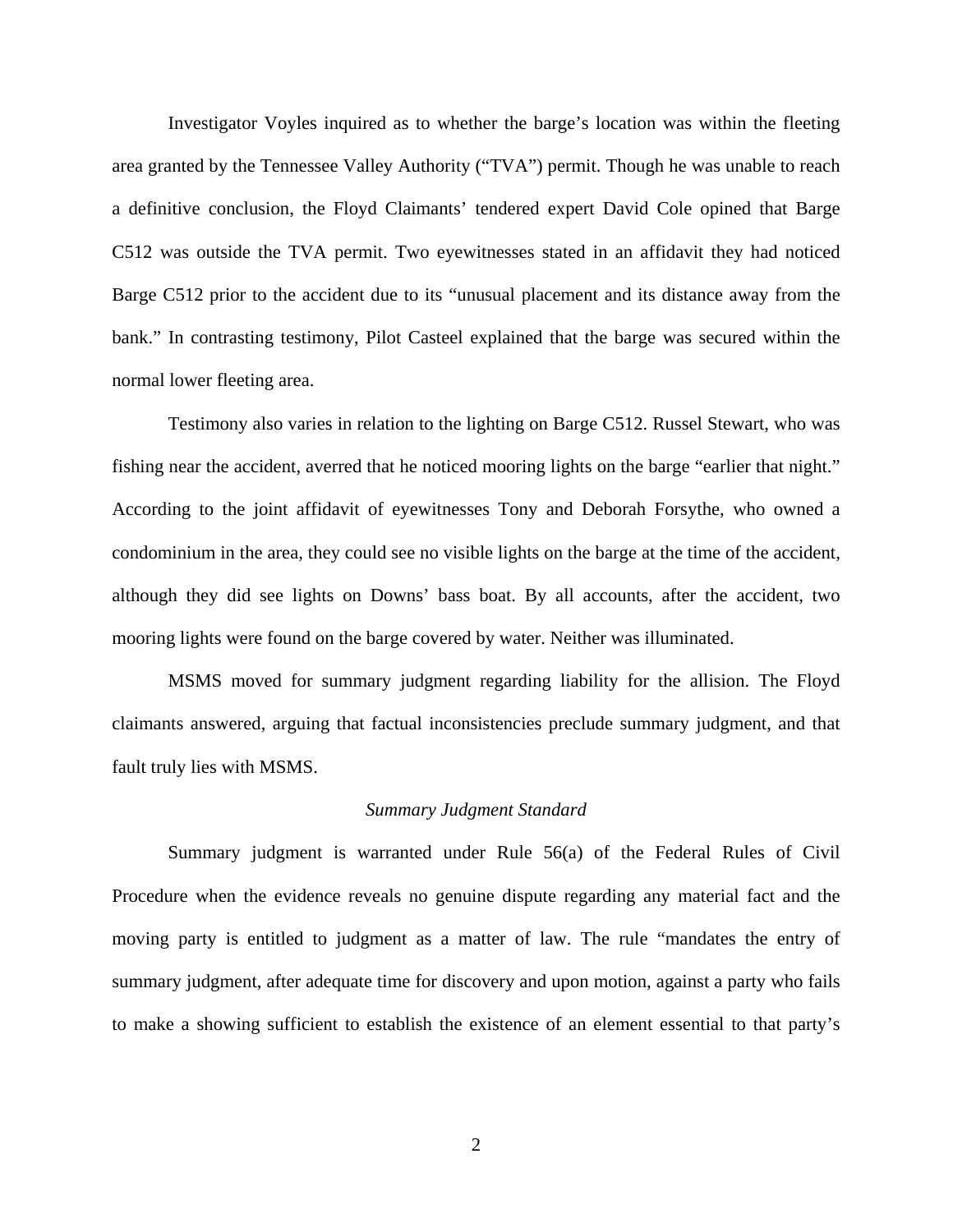Investigator Voyles inquired as to whether the barge's location was within the fleeting area granted by the Tennessee Valley Authority ("TVA") permit. Though he was unable to reach a definitive conclusion, the Floyd Claimants' tendered expert David Cole opined that Barge C512 was outside the TVA permit. Two eyewitnesses stated in an affidavit they had noticed Barge C512 prior to the accident due to its "unusual placement and its distance away from the bank." In contrasting testimony, Pilot Casteel explained that the barge was secured within the normal lower fleeting area.

Testimony also varies in relation to the lighting on Barge C512. Russel Stewart, who was fishing near the accident, averred that he noticed mooring lights on the barge "earlier that night." According to the joint affidavit of eyewitnesses Tony and Deborah Forsythe, who owned a condominium in the area, they could see no visible lights on the barge at the time of the accident, although they did see lights on Downs' bass boat. By all accounts, after the accident, two mooring lights were found on the barge covered by water. Neither was illuminated.

MSMS moved for summary judgment regarding liability for the allision. The Floyd claimants answered, arguing that factual inconsistencies preclude summary judgment, and that fault truly lies with MSMS.

# *Summary Judgment Standard*

Summary judgment is warranted under Rule 56(a) of the Federal Rules of Civil Procedure when the evidence reveals no genuine dispute regarding any material fact and the moving party is entitled to judgment as a matter of law. The rule "mandates the entry of summary judgment, after adequate time for discovery and upon motion, against a party who fails to make a showing sufficient to establish the existence of an element essential to that party's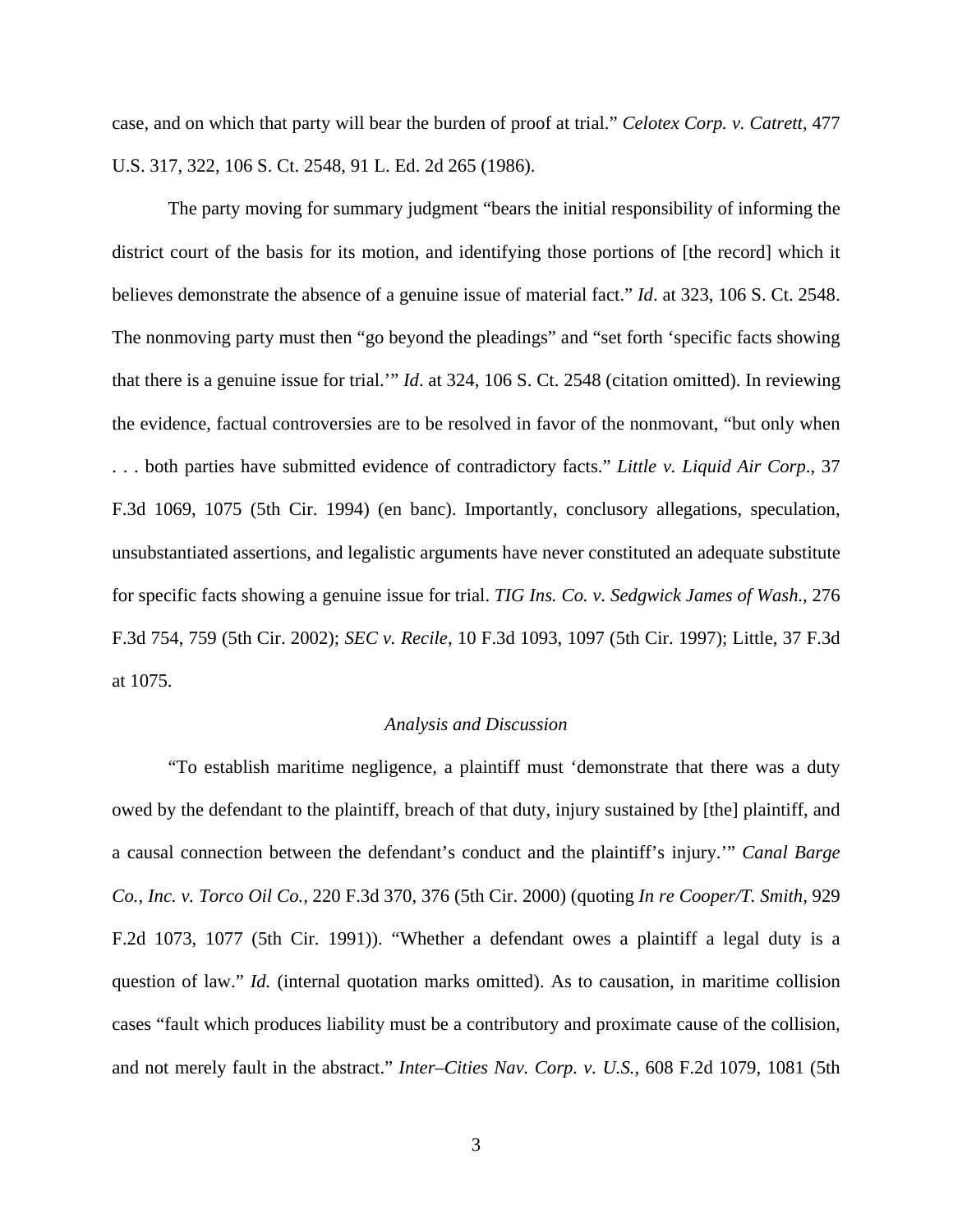case, and on which that party will bear the burden of proof at trial." *Celotex Corp. v. Catrett*, 477 U.S. 317, 322, 106 S. Ct. 2548, 91 L. Ed. 2d 265 (1986).

The party moving for summary judgment "bears the initial responsibility of informing the district court of the basis for its motion, and identifying those portions of [the record] which it believes demonstrate the absence of a genuine issue of material fact." *Id*. at 323, 106 S. Ct. 2548. The nonmoving party must then "go beyond the pleadings" and "set forth 'specific facts showing that there is a genuine issue for trial.'" *Id*. at 324, 106 S. Ct. 2548 (citation omitted). In reviewing the evidence, factual controversies are to be resolved in favor of the nonmovant, "but only when . . . both parties have submitted evidence of contradictory facts." *Little v. Liquid Air Corp*., 37 F.3d 1069, 1075 (5th Cir. 1994) (en banc). Importantly, conclusory allegations, speculation, unsubstantiated assertions, and legalistic arguments have never constituted an adequate substitute for specific facts showing a genuine issue for trial. *TIG Ins. Co. v. Sedgwick James of Wash*., 276 F.3d 754, 759 (5th Cir. 2002); *SEC v. Recile*, 10 F.3d 1093, 1097 (5th Cir. 1997); Little, 37 F.3d at 1075.

## *Analysis and Discussion*

"To establish maritime negligence, a plaintiff must 'demonstrate that there was a duty owed by the defendant to the plaintiff, breach of that duty, injury sustained by [the] plaintiff, and a causal connection between the defendant's conduct and the plaintiff's injury.'" *Canal Barge Co., Inc. v. Torco Oil Co.,* 220 F.3d 370, 376 (5th Cir. 2000) (quoting *In re Cooper/T. Smith,* 929 F.2d 1073, 1077 (5th Cir. 1991)). "Whether a defendant owes a plaintiff a legal duty is a question of law." *Id.* (internal quotation marks omitted). As to causation, in maritime collision cases "fault which produces liability must be a contributory and proximate cause of the collision, and not merely fault in the abstract." *Inter–Cities Nav. Corp. v. U.S.,* 608 F.2d 1079, 1081 (5th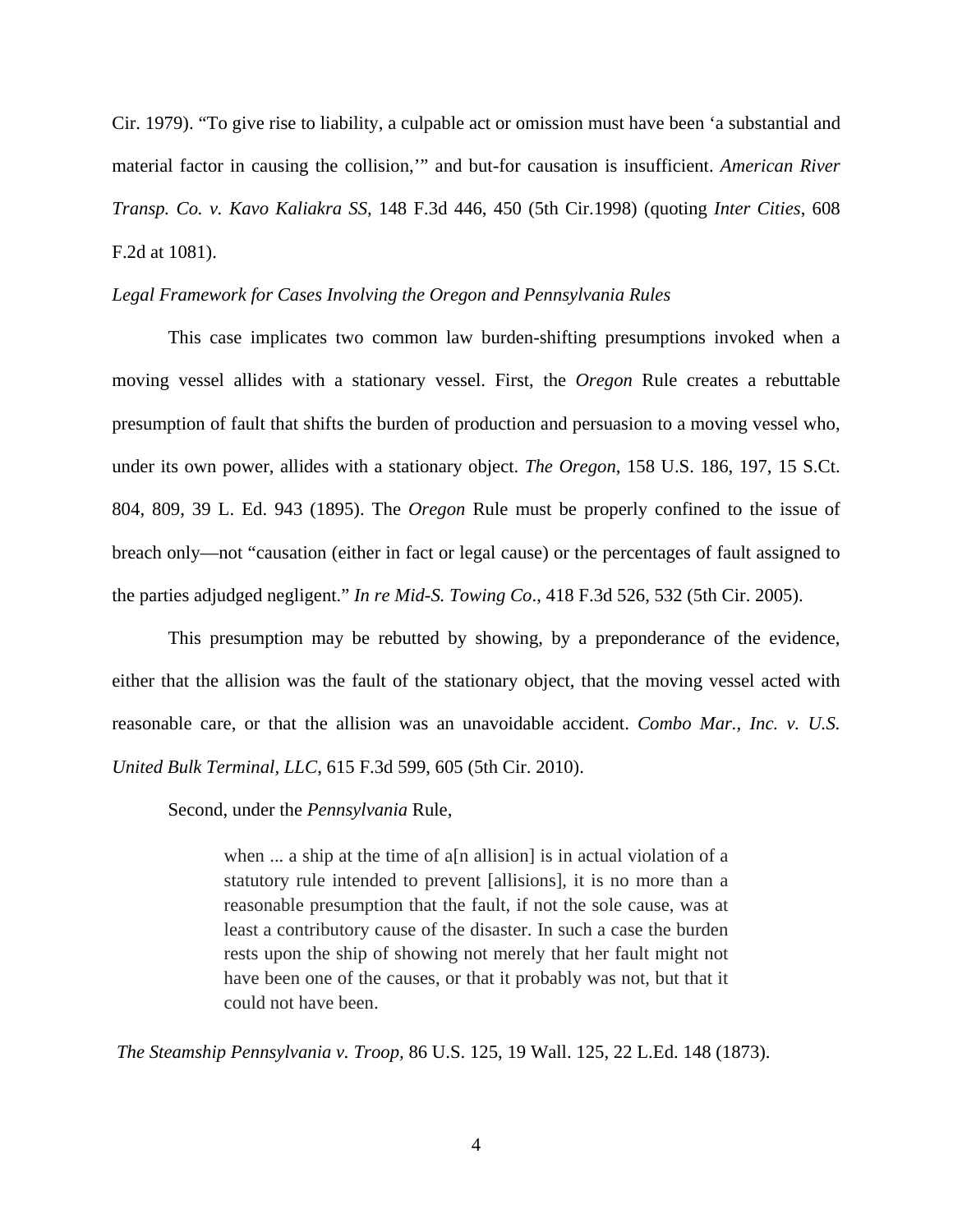Cir. 1979). "To give rise to liability, a culpable act or omission must have been 'a substantial and material factor in causing the collision,'" and but-for causation is insufficient. *American River Transp. Co. v. Kavo Kaliakra SS,* 148 F.3d 446, 450 (5th Cir.1998) (quoting *Inter Cities*, 608 F.2d at 1081).

## *Legal Framework for Cases Involving the Oregon and Pennsylvania Rules*

This case implicates two common law burden-shifting presumptions invoked when a moving vessel allides with a stationary vessel. First, the *Oregon* Rule creates a rebuttable presumption of fault that shifts the burden of production and persuasion to a moving vessel who, under its own power, allides with a stationary object. *The Oregon*, 158 U.S. 186, 197, 15 S.Ct. 804, 809, 39 L. Ed. 943 (1895). The *Oregon* Rule must be properly confined to the issue of breach only—not "causation (either in fact or legal cause) or the percentages of fault assigned to the parties adjudged negligent." *In re Mid-S. Towing Co*., 418 F.3d 526, 532 (5th Cir. 2005).

This presumption may be rebutted by showing, by a preponderance of the evidence, either that the allision was the fault of the stationary object, that the moving vessel acted with reasonable care, or that the allision was an unavoidable accident. *Combo Mar., Inc. v. U.S. United Bulk Terminal, LLC*, 615 F.3d 599, 605 (5th Cir. 2010).

Second, under the *Pennsylvania* Rule,

when ... a ship at the time of a[n allision] is in actual violation of a statutory rule intended to prevent [allisions], it is no more than a reasonable presumption that the fault, if not the sole cause, was at least a contributory cause of the disaster. In such a case the burden rests upon the ship of showing not merely that her fault might not have been one of the causes, or that it probably was not, but that it could not have been.

*The Steamship Pennsylvania v. Troop,* 86 U.S. 125, 19 Wall. 125, 22 L.Ed. 148 (1873).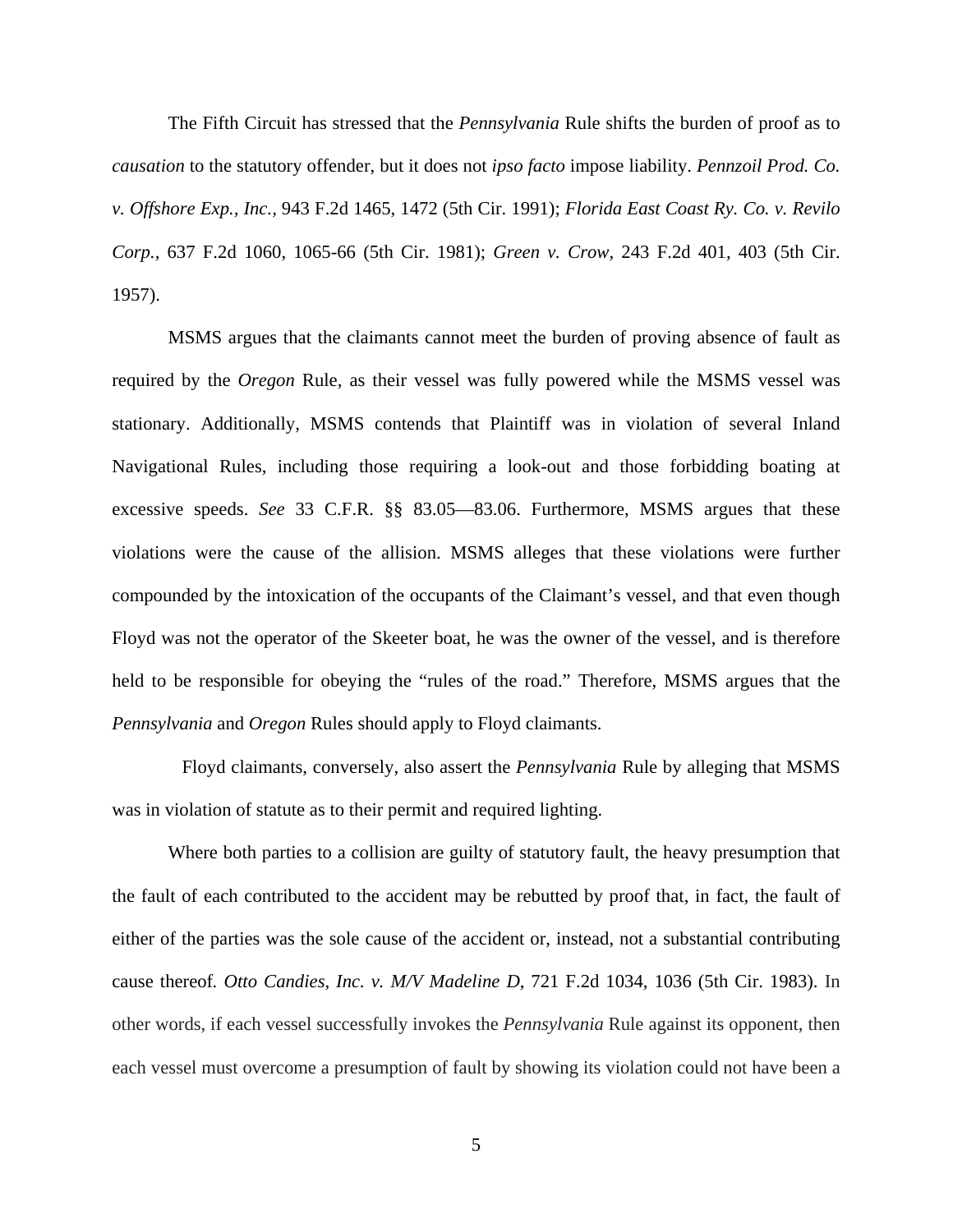The Fifth Circuit has stressed that the *Pennsylvania* Rule shifts the burden of proof as to *causation* to the statutory offender, but it does not *ipso facto* impose liability. *Pennzoil Prod. Co. v. Offshore Exp., Inc.,* 943 F.2d 1465, 1472 (5th Cir. 1991); *Florida East Coast Ry. Co. v. Revilo Corp.,* 637 F.2d 1060, 1065-66 (5th Cir. 1981); *Green v. Crow,* 243 F.2d 401, 403 (5th Cir. 1957).

MSMS argues that the claimants cannot meet the burden of proving absence of fault as required by the *Oregon* Rule, as their vessel was fully powered while the MSMS vessel was stationary. Additionally, MSMS contends that Plaintiff was in violation of several Inland Navigational Rules, including those requiring a look-out and those forbidding boating at excessive speeds. *See* 33 C.F.R. §§ 83.05—83.06. Furthermore, MSMS argues that these violations were the cause of the allision. MSMS alleges that these violations were further compounded by the intoxication of the occupants of the Claimant's vessel, and that even though Floyd was not the operator of the Skeeter boat, he was the owner of the vessel, and is therefore held to be responsible for obeying the "rules of the road." Therefore, MSMS argues that the *Pennsylvania* and *Oregon* Rules should apply to Floyd claimants.

 Floyd claimants, conversely, also assert the *Pennsylvania* Rule by alleging that MSMS was in violation of statute as to their permit and required lighting.

Where both parties to a collision are guilty of statutory fault, the heavy presumption that the fault of each contributed to the accident may be rebutted by proof that, in fact, the fault of either of the parties was the sole cause of the accident or, instead, not a substantial contributing cause thereof*. Otto Candies, Inc. v. M/V Madeline D*, 721 F.2d 1034, 1036 (5th Cir. 1983). In other words, if each vessel successfully invokes the *Pennsylvania* Rule against its opponent, then each vessel must overcome a presumption of fault by showing its violation could not have been a